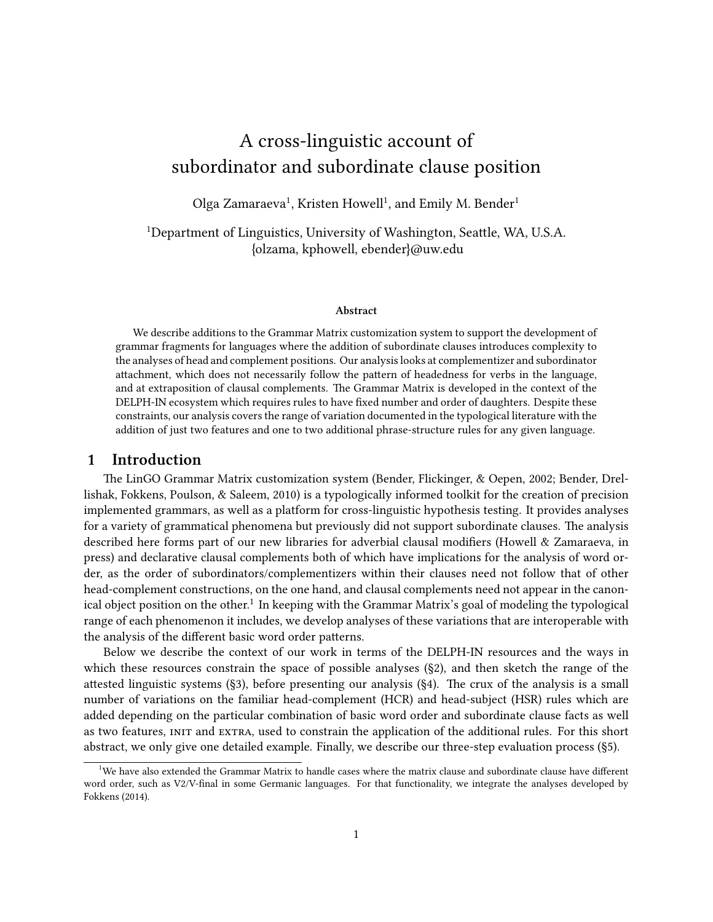# A cross-linguistic account of subordinator and subordinate clause position

Olga Zamaraeva<sup>1</sup>, Kristen Howell<sup>1</sup>, and Emily M. Bender<sup>1</sup>

<sup>1</sup>Department of Linguistics, University of Washington, Seattle, WA, U.S.A. {olzama, kphowell, ebender}@uw.edu

#### **Abstract**

We describe additions to the Grammar Matrix customization system to support the development of grammar fragments for languages where the addition of subordinate clauses introduces complexity to the analyses of head and complement positions. Our analysis looks at complementizer and subordinator attachment, which does not necessarily follow the pattern of headedness for verbs in the language, and at extraposition of clausal complements. The Grammar Matrix is developed in the context of the DELPH-IN ecosystem which requires rules to have fixed number and order of daughters. Despite these constraints, our analysis covers the range of variation documented in the typological literature with the addition of just two features and one to two additional phrase-structure rules for any given language.

#### **1 Introduction**

The LinGO Grammar Matrix customization system (Bender, Flickinger, & Oepen, 2002; Bender, Drellishak, Fokkens, Poulson, & Saleem, 2010) is a typologically informed toolkit for the creation of precision implemented grammars, as well as a platform for cross-linguistic hypothesis testing. It provides analyses for a variety of grammatical phenomena but previously did not support subordinate clauses. The analysis described here forms part of our new libraries for adverbial clausal modifiers (Howell & Zamaraeva, in press) and declarative clausal complements both of which have implications for the analysis of word order, as the order of subordinators/complementizers within their clauses need not follow that of other head-complement constructions, on the one hand, and clausal complements need not appear in the canonical object position on the other.<sup>1</sup> In keeping with the Grammar Matrix's goal of modeling the typological range of each phenomenon it includes, we develop analyses of these variations that are interoperable with the analysis of the different basic word order patterns.

Below we describe the context of our work in terms of the DELPH-IN resources and the ways in which these resources constrain the space of possible analyses (§2), and then sketch the range of the attested linguistic systems (§3), before presenting our analysis (§4). The crux of the analysis is a small number of variations on the familiar head-complement (HCR) and head-subject (HSR) rules which are added depending on the particular combination of basic word order and subordinate clause facts as well as two features, init and extra, used to constrain the application of the additional rules. For this short abstract, we only give one detailed example. Finally, we describe our three-step evaluation process (§5).

 $^{\rm 1}$ We have also extended the Grammar Matrix to handle cases where the matrix clause and subordinate clause have different word order, such as V2/V-final in some Germanic languages. For that functionality, we integrate the analyses developed by Fokkens (2014).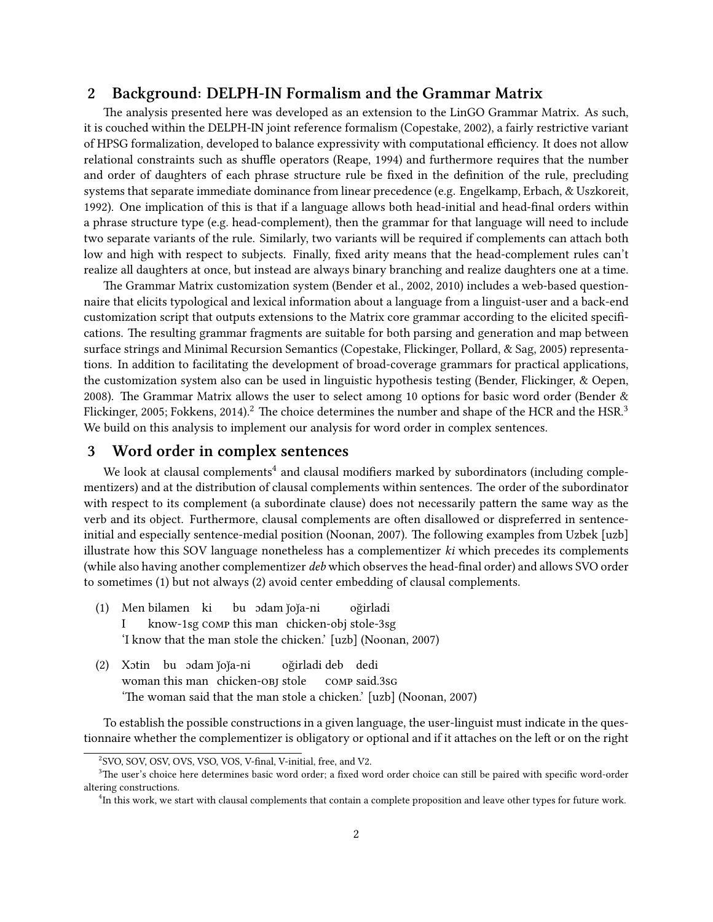#### **2 Background: DELPH-IN Formalism and the Grammar Matrix**

The analysis presented here was developed as an extension to the LinGO Grammar Matrix. As such, it is couched within the DELPH-IN joint reference formalism (Copestake, 2002), a fairly restrictive variant of HPSG formalization, developed to balance expressivity with computational efficiency. It does not allow relational constraints such as shuffle operators (Reape, 1994) and furthermore requires that the number and order of daughters of each phrase structure rule be fixed in the definition of the rule, precluding systems that separate immediate dominance from linear precedence (e.g. Engelkamp, Erbach, & Uszkoreit, 1992). One implication of this is that if a language allows both head-initial and head-final orders within a phrase structure type (e.g. head-complement), then the grammar for that language will need to include two separate variants of the rule. Similarly, two variants will be required if complements can attach both low and high with respect to subjects. Finally, fixed arity means that the head-complement rules can't realize all daughters at once, but instead are always binary branching and realize daughters one at a time.

The Grammar Matrix customization system (Bender et al., 2002, 2010) includes a web-based questionnaire that elicits typological and lexical information about a language from a linguist-user and a back-end customization script that outputs extensions to the Matrix core grammar according to the elicited specifications. The resulting grammar fragments are suitable for both parsing and generation and map between surface strings and Minimal Recursion Semantics (Copestake, Flickinger, Pollard, & Sag, 2005) representations. In addition to facilitating the development of broad-coverage grammars for practical applications, the customization system also can be used in linguistic hypothesis testing (Bender, Flickinger, & Oepen, 2008). The Grammar Matrix allows the user to select among 10 options for basic word order (Bender & Flickinger, 2005; Fokkens, 2014).<sup>2</sup> The choice determines the number and shape of the HCR and the HSR.<sup>3</sup> We build on this analysis to implement our analysis for word order in complex sentences.

# **3 Word order in complex sentences**

We look at clausal complements $^4$  and clausal modifiers marked by subordinators (including complementizers) and at the distribution of clausal complements within sentences. The order of the subordinator with respect to its complement (a subordinate clause) does not necessarily pattern the same way as the verb and its object. Furthermore, clausal complements are often disallowed or dispreferred in sentenceinitial and especially sentence-medial position (Noonan, 2007). The following examples from Uzbek [uzb] illustrate how this SOV language nonetheless has a complementizer *ki* which precedes its complements (while also having another complementizer *deb* which observes the head-final order) and allows SVO order to sometimes (1) but not always (2) avoid center embedding of clausal complements.

- (1) Men bilamen ki I know-1sg comp this man chicken-obj stole-3sg bu) odam joja-ni oğirladi 'I know that the man stole the chicken.' [uzb] (Noonan, 2007)
- (2) Xotin bu odam joja-ni woman this man chicken-obj stole oğirladi deb dedi comp said.3sg 'The woman said that the man stole a chicken.' [uzb] (Noonan, 2007)

To establish the possible constructions in a given language, the user-linguist must indicate in the questionnaire whether the complementizer is obligatory or optional and if it attaches on the left or on the right

<sup>2</sup> SVO, SOV, OSV, OVS, VSO, VOS, V-final, V-initial, free, and V2.

<sup>&</sup>lt;sup>3</sup>The user's choice here determines basic word order; a fixed word order choice can still be paired with specific word-order altering constructions.

<sup>&</sup>lt;sup>4</sup>In this work, we start with clausal complements that contain a complete proposition and leave other types for future work.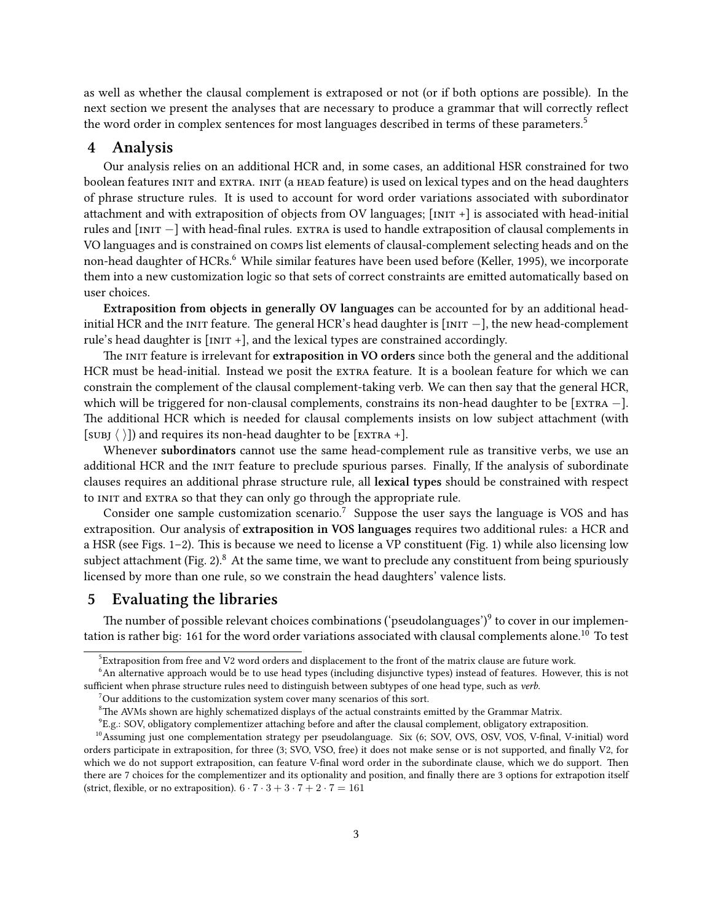as well as whether the clausal complement is extraposed or not (or if both options are possible). In the next section we present the analyses that are necessary to produce a grammar that will correctly reflect the word order in complex sentences for most languages described in terms of these parameters.<sup>5</sup>

#### **4 Analysis**

Our analysis relies on an additional HCR and, in some cases, an additional HSR constrained for two boolean features INIT and EXTRA. INIT (a HEAD feature) is used on lexical types and on the head daughters of phrase structure rules. It is used to account for word order variations associated with subordinator attachment and with extraposition of objects from OV languages; [init +] is associated with head-initial rules and [INIT −] with head-final rules. EXTRA is used to handle extraposition of clausal complements in VO languages and is constrained on comps list elements of clausal-complement selecting heads and on the non-head daughter of HCRs.<sup>6</sup> While similar features have been used before (Keller, 1995), we incorporate them into a new customization logic so that sets of correct constraints are emitted automatically based on user choices.

**Extraposition from objects in generally OV languages** can be accounted for by an additional headinitial HCR and the init feature. The general HCR's head daughter is [init *−*], the new head-complement rule's head daughter is  $[INT +]$ , and the lexical types are constrained accordingly.

The init feature is irrelevant for **extraposition in VO orders** since both the general and the additional HCR must be head-initial. Instead we posit the extra feature. It is a boolean feature for which we can constrain the complement of the clausal complement-taking verb. We can then say that the general HCR, which will be triggered for non-clausal complements, constrains its non-head daughter to be [extra *−*]. The additional HCR which is needed for clausal complements insists on low subject attachment (with [SUBJ  $\langle \ \rangle$ ]) and requires its non-head daughter to be [EXTRA +].

Whenever **subordinators** cannot use the same head-complement rule as transitive verbs, we use an additional HCR and the INIT feature to preclude spurious parses. Finally, If the analysis of subordinate clauses requires an additional phrase structure rule, all **lexical types** should be constrained with respect to INIT and EXTRA so that they can only go through the appropriate rule.

Consider one sample customization scenario.<sup>7</sup> Suppose the user says the language is VOS and has extraposition. Our analysis of **extraposition in VOS languages** requires two additional rules: a HCR and a HSR (see Figs. 1–2). This is because we need to license a VP constituent (Fig. 1) while also licensing low subject attachment (Fig. 2). $8$  At the same time, we want to preclude any constituent from being spuriously licensed by more than one rule, so we constrain the head daughters' valence lists.

# **5 Evaluating the libraries**

The number of possible relevant choices combinations ('pseudolanguages') $9$  to cover in our implementation is rather big: 161 for the word order variations associated with clausal complements alone.<sup>10</sup> To test

 $7$ Our additions to the customization system cover many scenarios of this sort.

 $^5$ Extraposition from free and V2 word orders and displacement to the front of the matrix clause are future work.

<sup>&</sup>lt;sup>6</sup>An alternative approach would be to use head types (including disjunctive types) instead of features. However, this is not sufficient when phrase structure rules need to distinguish between subtypes of one head type, such as *verb*.

<sup>&</sup>lt;sup>8</sup>The AVMs shown are highly schematized displays of the actual constraints emitted by the Grammar Matrix.

<sup>9</sup> E.g.: SOV, obligatory complementizer attaching before and after the clausal complement, obligatory extraposition.

<sup>&</sup>lt;sup>10</sup>Assuming just one complementation strategy per pseudolanguage. Six (6; SOV, OVS, OSV, VOS, V-final, V-initial) word orders participate in extraposition, for three (3; SVO, VSO, free) it does not make sense or is not supported, and finally V2, for which we do not support extraposition, can feature V-final word order in the subordinate clause, which we do support. Then there are 7 choices for the complementizer and its optionality and position, and finally there are 3 options for extrapotion itself (strict, flexible, or no extraposition).  $6 \cdot 7 \cdot 3 + 3 \cdot 7 + 2 \cdot 7 = 161$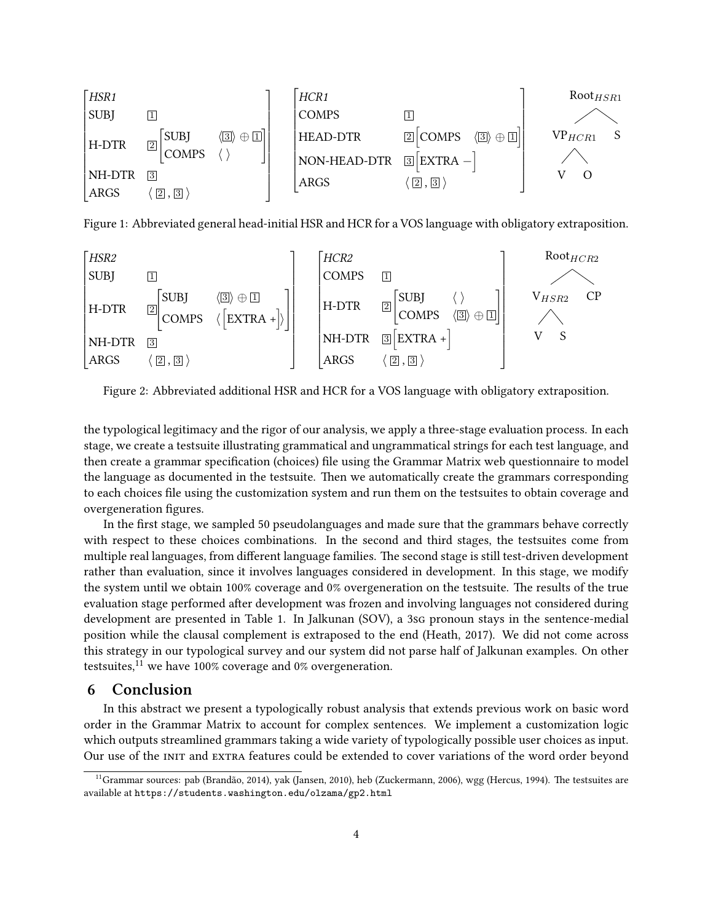

Figure 1: Abbreviated general head-initial HSR and HCR for a VOS language with obligatory extraposition.



Figure 2: Abbreviated additional HSR and HCR for a VOS language with obligatory extraposition.

the typological legitimacy and the rigor of our analysis, we apply a three-stage evaluation process. In each stage, we create a testsuite illustrating grammatical and ungrammatical strings for each test language, and then create a grammar specification (choices) file using the Grammar Matrix web questionnaire to model the language as documented in the testsuite. Then we automatically create the grammars corresponding to each choices file using the customization system and run them on the testsuites to obtain coverage and overgeneration figures.

In the first stage, we sampled 50 pseudolanguages and made sure that the grammars behave correctly with respect to these choices combinations. In the second and third stages, the testsuites come from multiple real languages, from different language families. The second stage is still test-driven development rather than evaluation, since it involves languages considered in development. In this stage, we modify the system until we obtain 100% coverage and 0% overgeneration on the testsuite. The results of the true evaluation stage performed after development was frozen and involving languages not considered during development are presented in Table 1. In Jalkunan (SOV), a 3sg pronoun stays in the sentence-medial position while the clausal complement is extraposed to the end (Heath, 2017). We did not come across this strategy in our typological survey and our system did not parse half of Jalkunan examples. On other testsuites, $^{11}$  we have 100% coverage and 0% overgeneration.

#### **6 Conclusion**

In this abstract we present a typologically robust analysis that extends previous work on basic word order in the Grammar Matrix to account for complex sentences. We implement a customization logic which outputs streamlined grammars taking a wide variety of typologically possible user choices as input. Our use of the init and extra features could be extended to cover variations of the word order beyond

<sup>&</sup>lt;sup>11</sup>Grammar sources: pab (Brandão, 2014), yak (Jansen, 2010), heb (Zuckermann, 2006), wgg (Hercus, 1994). The testsuites are available at https://students.washington.edu/olzama/gp2.html